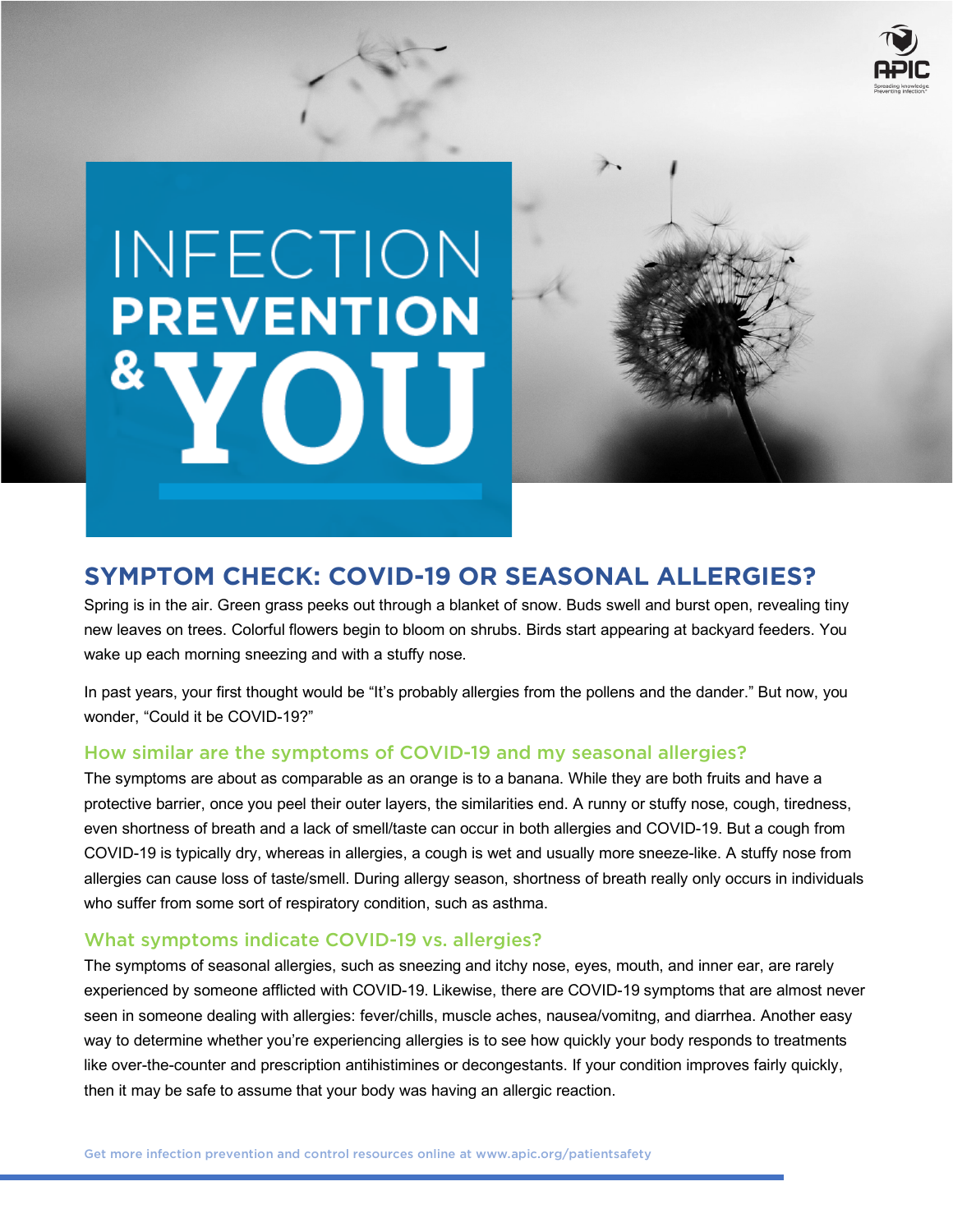

# INFECTION **PREVENTION**



# **SYMPTOM CHECK: COVID-19 OR SEASONAL ALLERGIES?**

Spring is in the air. Green grass peeks out through a blanket of snow. Buds swell and burst open, revealing tiny new leaves on trees. Colorful flowers begin to bloom on shrubs. Birds start appearing at backyard feeders. You wake up each morning sneezing and with a stuffy nose.

In past years, your first thought would be "It's probably allergies from the pollens and the dander." But now, you wonder, "Could it be COVID-19?"

## How similar are the symptoms of COVID-19 and my seasonal allergies?

The symptoms are about as comparable as an orange is to a banana. While they are both fruits and have a protective barrier, once you peel their outer layers, the similarities end. A runny or stuffy nose, cough, tiredness, even shortness of breath and a lack of smell/taste can occur in both allergies and COVID-19. But a cough from COVID-19 is typically dry, whereas in allergies, a cough is wet and usually more sneeze-like. A stuffy nose from allergies can cause loss of taste/smell. During allergy season, shortness of breath really only occurs in individuals who suffer from some sort of respiratory condition, such as asthma.

### What symptoms indicate COVID-19 vs. allergies?

The symptoms of seasonal allergies, such as sneezing and itchy nose, eyes, mouth, and inner ear, are rarely experienced by someone afflicted with COVID-19. Likewise, there are COVID-19 symptoms that are almost never seen in someone dealing with allergies: fever/chills, muscle aches, nausea/vomitng, and diarrhea. Another easy way to determine whether you're experiencing allergies is to see how quickly your body responds to treatments like over-the-counter and prescription antihistimines or decongestants. If your condition improves fairly quickly, then it may be safe to assume that your body was having an allergic reaction.